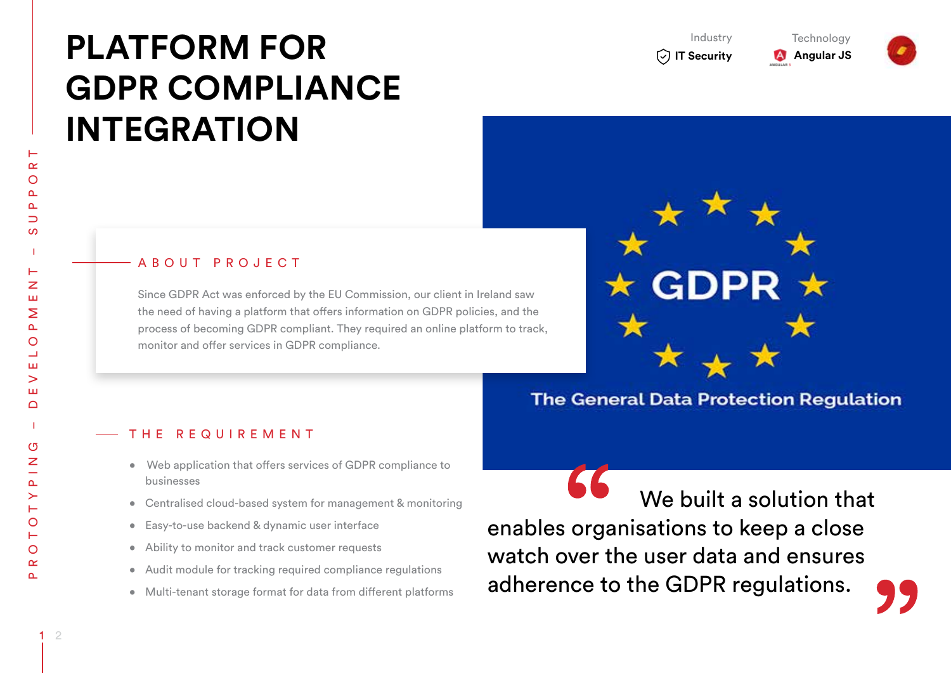# **Platform for GDPR Compliance Integration**

Industry

**IT Security A** Angular JS

**Technology** 



 PME NT – SUPP ORT  $\propto$  $\circ$  $\overline{\phantom{0}}$ ဖာ Ζ Щ Σ  $\Delta$ O ing – DEVEL ш  $\geq$ Ш  $\bigcap$  $\overline{5}$  $\overline{z}$  $\Delta$ Prototy  $\circ$  $\circ$  $\propto$ 

## A B O U T P R O J E C T

Since GDPR Act was enforced by the EU Commission, our client in Ireland saw the need of having a platform that offers information on GDPR policies, and the process of becoming GDPR compliant. They required an online platform to track, monitor and offer services in GDPR compliance.



# **The General Data Protection Requlation**

#### THE REQUIREMENT

- Web application that offers services of GDPR compliance to businesses
- Centralised cloud-based system for management & monitoring
- Easy-to-use backend & dynamic user interface
- Ability to monitor and track customer requests
- Audit module for tracking required compliance regulations
- Multi-tenant storage format for data from different platforms

 We built a solution that enables organisations to keep a close watch over the user data and ensures adherence to the GDPR regulations.

 $\Delta$